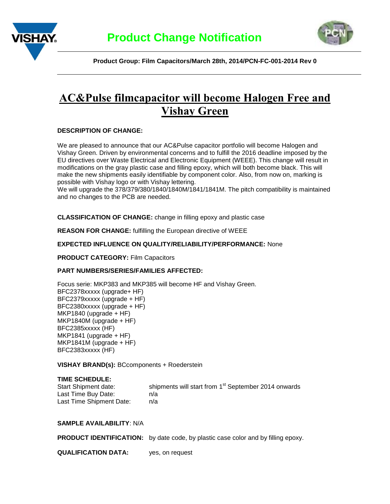



 **Product Group: Film Capacitors/March 28th, 2014/PCN-FC-001-2014 Rev 0**

# **AC&Pulse filmcapacitor will become Halogen Free and Vishay Green**

# **DESCRIPTION OF CHANGE:**

We are pleased to announce that our AC&Pulse capacitor portfolio will become Halogen and Vishay Green. Driven by environmental concerns and to fulfill the 2016 deadline imposed by the EU directives over Waste Electrical and Electronic Equipment (WEEE). This change will result in modifications on the gray plastic case and filling epoxy, which will both become black. This will make the new shipments easily identifiable by component color. Also, from now on, marking is possible with Vishay logo or with Vishay lettering.

We will upgrade the 378/379/380/1840/1840M/1841/1841M. The pitch compatibility is maintained and no changes to the PCB are needed.

**CLASSIFICATION OF CHANGE:** change in filling epoxy and plastic case

**REASON FOR CHANGE:** fulfilling the European directive of WEEE

## **EXPECTED INFLUENCE ON QUALITY/RELIABILITY/PERFORMANCE:** None

**PRODUCT CATEGORY:** Film Capacitors

# **PART NUMBERS/SERIES/FAMILIES AFFECTED:**

Focus serie: MKP383 and MKP385 will become HF and Vishay Green. BFC2378xxxxx (upgrade+ HF) BFC2379xxxxx (upgrade + HF) BFC2380xxxxx (upgrade + HF) MKP1840 (upgrade + HF) MKP1840M (upgrade + HF) BFC2385xxxxx (HF) MKP1841 (upgrade + HF) MKP1841M (upgrade + HF) BFC2383xxxxx (HF)

**VISHAY BRAND(s):** BCcomponents + Roederstein

# **TIME SCHEDULE:**

| Start Shipment date:     | shipments will start from 1 <sup>st</sup> September 2014 onwards |
|--------------------------|------------------------------------------------------------------|
| Last Time Buy Date:      | n/a                                                              |
| Last Time Shipment Date: | n/a                                                              |

## **SAMPLE AVAILABILITY**: N/A

|  | <b>PRODUCT IDENTIFICATION:</b> by date code, by plastic case color and by filling epoxy. |
|--|------------------------------------------------------------------------------------------|
|--|------------------------------------------------------------------------------------------|

**QUALIFICATION DATA:** yes, on request